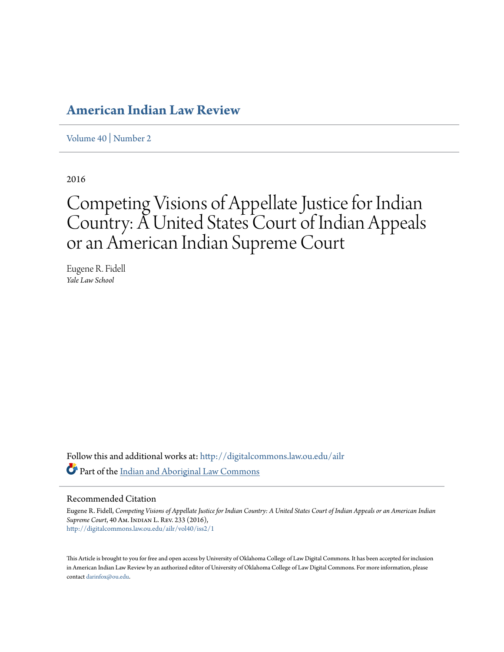# **[American Indian Law Review](http://digitalcommons.law.ou.edu/ailr?utm_source=digitalcommons.law.ou.edu%2Failr%2Fvol40%2Fiss2%2F1&utm_medium=PDF&utm_campaign=PDFCoverPages)**

[Volume 40](http://digitalcommons.law.ou.edu/ailr/vol40?utm_source=digitalcommons.law.ou.edu%2Failr%2Fvol40%2Fiss2%2F1&utm_medium=PDF&utm_campaign=PDFCoverPages) | [Number 2](http://digitalcommons.law.ou.edu/ailr/vol40/iss2?utm_source=digitalcommons.law.ou.edu%2Failr%2Fvol40%2Fiss2%2F1&utm_medium=PDF&utm_campaign=PDFCoverPages)

2016

# Competing Visions of Appellate Justice for Indian Country: A United States Court of Indian Appeals or an American Indian Supreme Court

Eugene R. Fidell *Yale Law School*

Follow this and additional works at: [http://digitalcommons.law.ou.edu/ailr](http://digitalcommons.law.ou.edu/ailr?utm_source=digitalcommons.law.ou.edu%2Failr%2Fvol40%2Fiss2%2F1&utm_medium=PDF&utm_campaign=PDFCoverPages) Part of the [Indian and Aboriginal Law Commons](http://network.bepress.com/hgg/discipline/894?utm_source=digitalcommons.law.ou.edu%2Failr%2Fvol40%2Fiss2%2F1&utm_medium=PDF&utm_campaign=PDFCoverPages)

## Recommended Citation

Eugene R. Fidell, *Competing Visions of Appellate Justice for Indian Country: A United States Court of Indian Appeals or an American Indian Supreme Court*, 40 Am. Indian L. Rev. 233 (2016), [http://digitalcommons.law.ou.edu/ailr/vol40/iss2/1](http://digitalcommons.law.ou.edu/ailr/vol40/iss2/1?utm_source=digitalcommons.law.ou.edu%2Failr%2Fvol40%2Fiss2%2F1&utm_medium=PDF&utm_campaign=PDFCoverPages)

This Article is brought to you for free and open access by University of Oklahoma College of Law Digital Commons. It has been accepted for inclusion in American Indian Law Review by an authorized editor of University of Oklahoma College of Law Digital Commons. For more information, please contact [darinfox@ou.edu.](mailto:darinfox@ou.edu)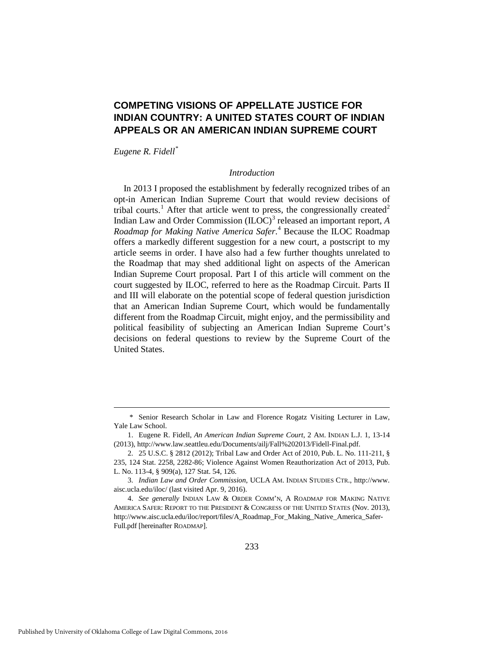# **COMPETING VISIONS OF APPELLATE JUSTICE FOR INDIAN COUNTRY: A UNITED STATES COURT OF INDIAN APPEALS OR AN AMERICAN INDIAN SUPREME COURT**

*Eugene R. Fidell[\\*](#page-1-0)*

#### *Introduction*

In 2013 I proposed the establishment by federally recognized tribes of an opt-in American Indian Supreme Court that would review decisions of tribal courts.<sup>[1](#page-1-1)</sup> After that article went to press, the congressionally created<sup>[2](#page-1-2)</sup> Indian Law and Order Commission (ILOC)<sup>[3](#page-1-3)</sup> released an important report, *A Roadmap for Making Native America Safer*. [4](#page-1-4) Because the ILOC Roadmap offers a markedly different suggestion for a new court, a postscript to my article seems in order. I have also had a few further thoughts unrelated to the Roadmap that may shed additional light on aspects of the American Indian Supreme Court proposal. Part I of this article will comment on the court suggested by ILOC, referred to here as the Roadmap Circuit. Parts II and III will elaborate on the potential scope of federal question jurisdiction that an American Indian Supreme Court, which would be fundamentally different from the Roadmap Circuit, might enjoy, and the permissibility and political feasibility of subjecting an American Indian Supreme Court's decisions on federal questions to review by the Supreme Court of the United States.

<u>.</u>

<span id="page-1-0"></span> <sup>\*</sup> Senior Research Scholar in Law and Florence Rogatz Visiting Lecturer in Law, Yale Law School.

<span id="page-1-1"></span> <sup>1.</sup> Eugene R. Fidell, *An American Indian Supreme Court*, 2 AM. INDIAN L.J. 1, 13-14 (2013), http://www.law.seattleu.edu/Documents/ailj/Fall%202013/Fidell-Final.pdf.

<span id="page-1-2"></span> <sup>2. 25</sup> U.S.C. § 2812 (2012); Tribal Law and Order Act of 2010, Pub. L. No. 111-211, § 235, 124 Stat. 2258, 2282-86; Violence Against Women Reauthorization Act of 2013, Pub. L. No. 113-4, § 909(a), 127 Stat. 54, 126.

<span id="page-1-3"></span> <sup>3.</sup> *Indian Law and Order Commission*, UCLA AM. INDIAN STUDIES CTR., http://www. aisc.ucla.edu/iloc/ (last visited Apr. 9, 2016).

<span id="page-1-4"></span> <sup>4.</sup> *See generally* INDIAN LAW & ORDER COMM'N, A ROADMAP FOR MAKING NATIVE AMERICA SAFER: REPORT TO THE PRESIDENT & CONGRESS OF THE UNITED STATES (Nov. 2013), http://www.aisc.ucla.edu/iloc/report/files/A\_Roadmap\_For\_Making\_Native\_America\_Safer-Full.pdf [hereinafter ROADMAP].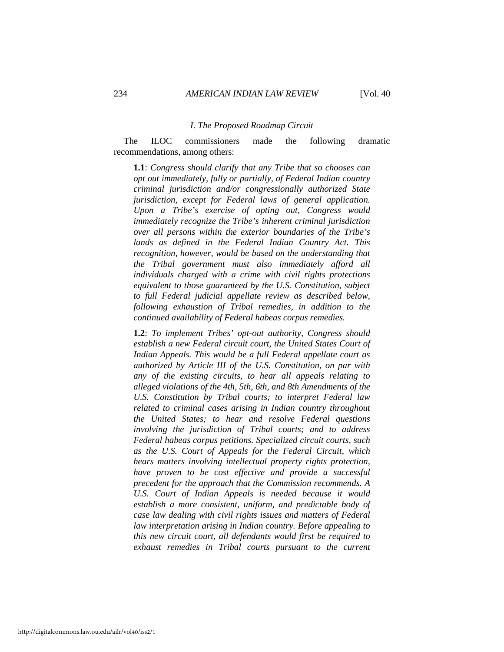#### *I. The Proposed Roadmap Circuit*

The ILOC commissioners made the following dramatic recommendations, among others:

**1.1**: *Congress should clarify that any Tribe that so chooses can opt out immediately, fully or partially, of Federal Indian country criminal jurisdiction and/or congressionally authorized State jurisdiction, except for Federal laws of general application. Upon a Tribe's exercise of opting out, Congress would immediately recognize the Tribe's inherent criminal jurisdiction over all persons within the exterior boundaries of the Tribe's lands as defined in the Federal Indian Country Act. This recognition, however, would be based on the understanding that the Tribal government must also immediately afford all individuals charged with a crime with civil rights protections equivalent to those guaranteed by the U.S. Constitution, subject to full Federal judicial appellate review as described below, following exhaustion of Tribal remedies, in addition to the continued availability of Federal habeas corpus remedies.*

**1.2**: *To implement Tribes' opt-out authority, Congress should establish a new Federal circuit court, the United States Court of Indian Appeals. This would be a full Federal appellate court as authorized by Article III of the U.S. Constitution, on par with any of the existing circuits, to hear all appeals relating to alleged violations of the 4th, 5th, 6th, and 8th Amendments of the U.S. Constitution by Tribal courts; to interpret Federal law related to criminal cases arising in Indian country throughout the United States; to hear and resolve Federal questions involving the jurisdiction of Tribal courts; and to address Federal habeas corpus petitions. Specialized circuit courts, such as the U.S. Court of Appeals for the Federal Circuit, which hears matters involving intellectual property rights protection, have proven to be cost effective and provide a successful precedent for the approach that the Commission recommends. A U.S. Court of Indian Appeals is needed because it would establish a more consistent, uniform, and predictable body of case law dealing with civil rights issues and matters of Federal law interpretation arising in Indian country. Before appealing to this new circuit court, all defendants would first be required to exhaust remedies in Tribal courts pursuant to the current*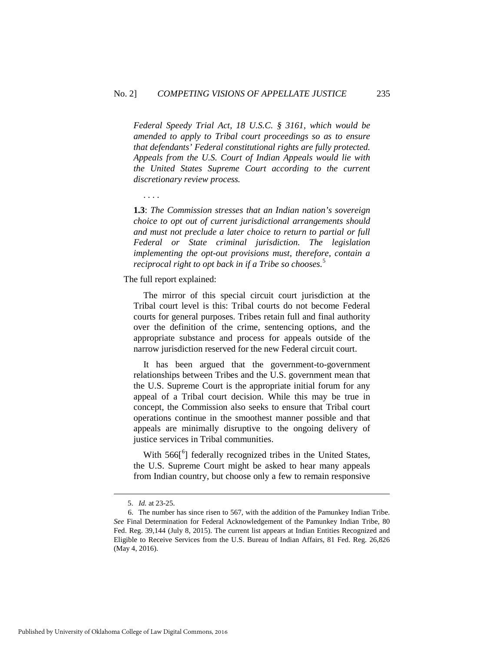*Federal Speedy Trial Act, 18 U.S.C. § 3161, which would be amended to apply to Tribal court proceedings so as to ensure that defendants' Federal constitutional rights are fully protected. Appeals from the U.S. Court of Indian Appeals would lie with the United States Supreme Court according to the current discretionary review process.* 

. . . .

**1.3**: *The Commission stresses that an Indian nation's sovereign choice to opt out of current jurisdictional arrangements should and must not preclude a later choice to return to partial or full Federal or State criminal jurisdiction. The legislation implementing the opt-out provisions must, therefore, contain a reciprocal right to opt back in if a Tribe so chooses.*[5](#page-3-0)

#### The full report explained:

The mirror of this special circuit court jurisdiction at the Tribal court level is this: Tribal courts do not become Federal courts for general purposes. Tribes retain full and final authority over the definition of the crime, sentencing options, and the appropriate substance and process for appeals outside of the narrow jurisdiction reserved for the new Federal circuit court.

It has been argued that the government-to-government relationships between Tribes and the U.S. government mean that the U.S. Supreme Court is the appropriate initial forum for any appeal of a Tribal court decision. While this may be true in concept, the Commission also seeks to ensure that Tribal court operations continue in the smoothest manner possible and that appeals are minimally disruptive to the ongoing delivery of justice services in Tribal communities.

With 5[6](#page-3-1)6<sup>[6</sup>] federally recognized tribes in the United States, the U.S. Supreme Court might be asked to hear many appeals from Indian country, but choose only a few to remain responsive

<u>.</u>

 <sup>5.</sup> *Id.* at 23-25.

<span id="page-3-1"></span><span id="page-3-0"></span> <sup>6.</sup> The number has since risen to 567, with the addition of the Pamunkey Indian Tribe. *See* Final Determination for Federal Acknowledgement of the Pamunkey Indian Tribe, 80 Fed. Reg. 39,144 (July 8, 2015). The current list appears at Indian Entities Recognized and Eligible to Receive Services from the U.S. Bureau of Indian Affairs, 81 Fed. Reg. 26,826 (May 4, 2016).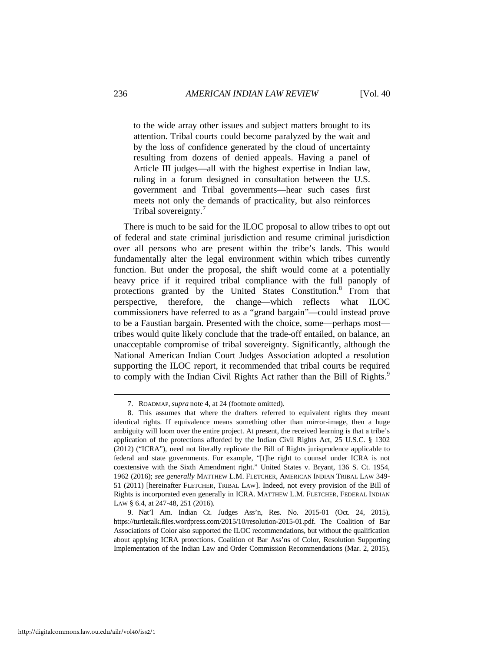to the wide array other issues and subject matters brought to its attention. Tribal courts could become paralyzed by the wait and by the loss of confidence generated by the cloud of uncertainty resulting from dozens of denied appeals. Having a panel of Article III judges—all with the highest expertise in Indian law, ruling in a forum designed in consultation between the U.S. government and Tribal governments—hear such cases first meets not only the demands of practicality, but also reinforces Tribal sovereignty.<sup>[7](#page-4-0)</sup>

There is much to be said for the ILOC proposal to allow tribes to opt out of federal and state criminal jurisdiction and resume criminal jurisdiction over all persons who are present within the tribe's lands. This would fundamentally alter the legal environment within which tribes currently function. But under the proposal, the shift would come at a potentially heavy price if it required tribal compliance with the full panoply of protections granted by the United States Constitution.<sup>[8](#page-4-1)</sup> From that perspective, therefore, the change—which reflects what ILOC commissioners have referred to as a "grand bargain"—could instead prove to be a Faustian bargain. Presented with the choice, some—perhaps most tribes would quite likely conclude that the trade-off entailed, on balance, an unacceptable compromise of tribal sovereignty. Significantly, although the National American Indian Court Judges Association adopted a resolution supporting the ILOC report, it recommended that tribal courts be required to comply with the Indian Civil Rights Act rather than the Bill of Rights.<sup>[9](#page-4-2)</sup>

-

 <sup>7.</sup> ROADMAP, *supra* note 4, at 24 (footnote omitted).

<span id="page-4-1"></span><span id="page-4-0"></span> <sup>8.</sup> This assumes that where the drafters referred to equivalent rights they meant identical rights. If equivalence means something other than mirror-image, then a huge ambiguity will loom over the entire project. At present, the received learning is that a tribe's application of the protections afforded by the Indian Civil Rights Act, 25 U.S.C. § 1302 (2012) ("ICRA"), need not literally replicate the Bill of Rights jurisprudence applicable to federal and state governments. For example, "[t]he right to counsel under ICRA is not coextensive with the Sixth Amendment right." United States v. Bryant, 136 S. Ct. 1954, 1962 (2016); *see generally* MATTHEW L.M. FLETCHER, AMERICAN INDIAN TRIBAL LAW 349- 51 (2011) [hereinafter FLETCHER, TRIBAL LAW]. Indeed, not every provision of the Bill of Rights is incorporated even generally in ICRA. MATTHEW L.M. FLETCHER, FEDERAL INDIAN LAW § 6.4, at 247-48, 251 (2016).

<span id="page-4-2"></span> <sup>9.</sup> Nat'l Am. Indian Ct. Judges Ass'n, Res. No. 2015-01 (Oct. 24, 2015), https://turtletalk.files.wordpress.com/2015/10/resolution-2015-01.pdf. The Coalition of Bar Associations of Color also supported the ILOC recommendations, but without the qualification about applying ICRA protections. Coalition of Bar Ass'ns of Color, Resolution Supporting Implementation of the Indian Law and Order Commission Recommendations (Mar. 2, 2015),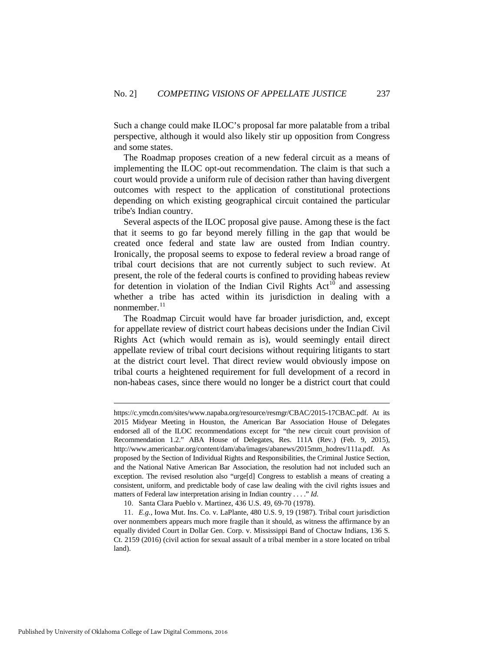Such a change could make ILOC's proposal far more palatable from a tribal perspective, although it would also likely stir up opposition from Congress and some states.

The Roadmap proposes creation of a new federal circuit as a means of implementing the ILOC opt-out recommendation. The claim is that such a court would provide a uniform rule of decision rather than having divergent outcomes with respect to the application of constitutional protections depending on which existing geographical circuit contained the particular tribe's Indian country.

Several aspects of the ILOC proposal give pause. Among these is the fact that it seems to go far beyond merely filling in the gap that would be created once federal and state law are ousted from Indian country. Ironically, the proposal seems to expose to federal review a broad range of tribal court decisions that are not currently subject to such review. At present, the role of the federal courts is confined to providing habeas review for detention in violation of the Indian Civil Rights  $Act^{10}$  $Act^{10}$  $Act^{10}$  and assessing whether a tribe has acted within its jurisdiction in dealing with a nonmember. $^{11}$  $^{11}$  $^{11}$ 

The Roadmap Circuit would have far broader jurisdiction, and, except for appellate review of district court habeas decisions under the Indian Civil Rights Act (which would remain as is), would seemingly entail direct appellate review of tribal court decisions without requiring litigants to start at the district court level. That direct review would obviously impose on tribal courts a heightened requirement for full development of a record in non-habeas cases, since there would no longer be a district court that could

-

https://c.ymcdn.com/sites/www.napaba.org/resource/resmgr/CBAC/2015-17CBAC.pdf. At its 2015 Midyear Meeting in Houston, the American Bar Association House of Delegates endorsed all of the ILOC recommendations except for "the new circuit court provision of Recommendation 1.2." ABA House of Delegates, Res. 111A (Rev.) (Feb. 9, 2015), http://www.americanbar.org/content/dam/aba/images/abanews/2015mm\_hodres/111a.pdf. As proposed by the Section of Individual Rights and Responsibilities, the Criminal Justice Section, and the National Native American Bar Association, the resolution had not included such an exception. The revised resolution also "urge[d] Congress to establish a means of creating a consistent, uniform, and predictable body of case law dealing with the civil rights issues and matters of Federal law interpretation arising in Indian country . . . ." *Id.*

<sup>10.</sup> Santa Clara Pueblo v. Martinez, 436 U.S. 49, 69-70 (1978).

<span id="page-5-1"></span><span id="page-5-0"></span><sup>11.</sup> *E.g.*, Iowa Mut. Ins. Co. v. LaPlante, 480 U.S. 9, 19 (1987). Tribal court jurisdiction over nonmembers appears much more fragile than it should, as witness the affirmance by an equally divided Court in Dollar Gen. Corp. v. Mississippi Band of Choctaw Indians, 136 S. Ct. 2159 (2016) (civil action for sexual assault of a tribal member in a store located on tribal land).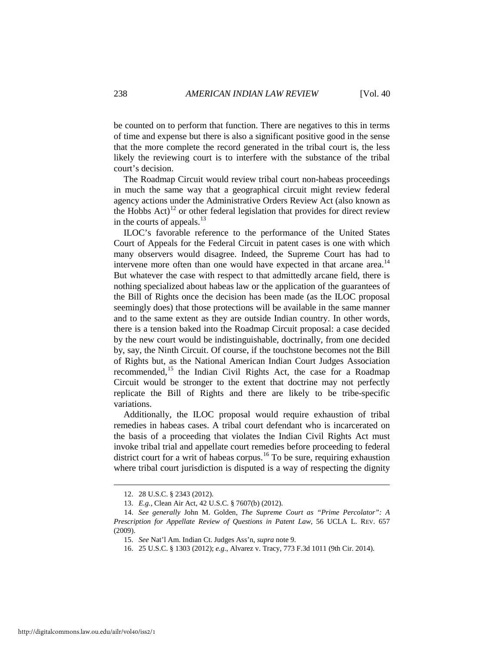be counted on to perform that function. There are negatives to this in terms of time and expense but there is also a significant positive good in the sense that the more complete the record generated in the tribal court is, the less likely the reviewing court is to interfere with the substance of the tribal court's decision.

The Roadmap Circuit would review tribal court non-habeas proceedings in much the same way that a geographical circuit might review federal agency actions under the Administrative Orders Review Act (also known as the Hobbs Act)<sup>[12](#page-6-0)</sup> or other federal legislation that provides for direct review in the courts of appeals.<sup>[13](#page-6-1)</sup>

ILOC's favorable reference to the performance of the United States Court of Appeals for the Federal Circuit in patent cases is one with which many observers would disagree. Indeed, the Supreme Court has had to intervene more often than one would have expected in that arcane area.<sup>[14](#page-6-2)</sup> But whatever the case with respect to that admittedly arcane field, there is nothing specialized about habeas law or the application of the guarantees of the Bill of Rights once the decision has been made (as the ILOC proposal seemingly does) that those protections will be available in the same manner and to the same extent as they are outside Indian country. In other words, there is a tension baked into the Roadmap Circuit proposal: a case decided by the new court would be indistinguishable, doctrinally, from one decided by, say, the Ninth Circuit. Of course, if the touchstone becomes not the Bill of Rights but, as the National American Indian Court Judges Association recommended,<sup>[15](#page-6-3)</sup> the Indian Civil Rights Act, the case for a Roadmap Circuit would be stronger to the extent that doctrine may not perfectly replicate the Bill of Rights and there are likely to be tribe-specific variations.

Additionally, the ILOC proposal would require exhaustion of tribal remedies in habeas cases. A tribal court defendant who is incarcerated on the basis of a proceeding that violates the Indian Civil Rights Act must invoke tribal trial and appellate court remedies before proceeding to federal district court for a writ of habeas corpus.<sup>[16](#page-6-4)</sup> To be sure, requiring exhaustion where tribal court jurisdiction is disputed is a way of respecting the dignity

 <sup>12. 28</sup> U.S.C. § 2343 (2012).

<sup>13.</sup> *E.g.*, Clean Air Act, 42 U.S.C. § 7607(b) (2012).

<span id="page-6-4"></span><span id="page-6-3"></span><span id="page-6-2"></span><span id="page-6-1"></span><span id="page-6-0"></span><sup>14.</sup> *See generally* John M. Golden, *The Supreme Court as "Prime Percolator": A Prescription for Appellate Review of Questions in Patent Law*, 56 UCLA L. REV. 657 (2009).

<sup>15.</sup> *See* Nat'l Am. Indian Ct. Judges Ass'n, *supra* note 9.

<sup>16. 25</sup> U.S.C. § 1303 (2012); *e.g.*, Alvarez v. Tracy, 773 F.3d 1011 (9th Cir. 2014).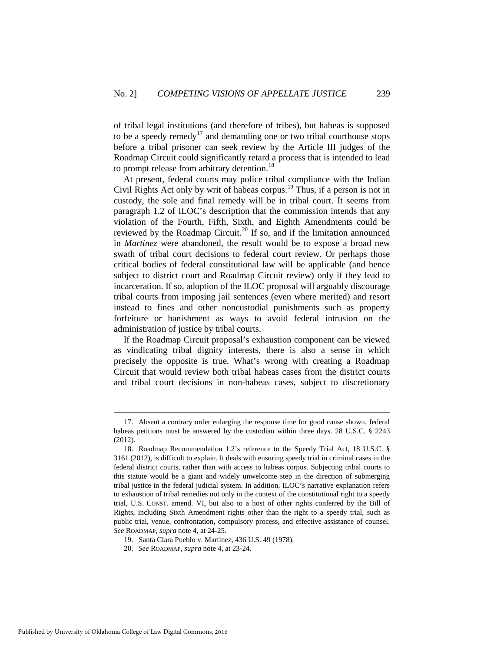of tribal legal institutions (and therefore of tribes), but habeas is supposed to be a speedy remedy<sup>[17](#page-7-0)</sup> and demanding one or two tribal courthouse stops before a tribal prisoner can seek review by the Article III judges of the Roadmap Circuit could significantly retard a process that is intended to lead to prompt release from arbitrary detention.<sup>[18](#page-7-1)</sup>

At present, federal courts may police tribal compliance with the Indian Civil Rights Act only by writ of habeas corpus.<sup>[19](#page-7-2)</sup> Thus, if a person is not in custody, the sole and final remedy will be in tribal court. It seems from paragraph 1.2 of ILOC's description that the commission intends that any violation of the Fourth, Fifth, Sixth, and Eighth Amendments could be reviewed by the Roadmap Circuit.<sup>[20](#page-7-3)</sup> If so, and if the limitation announced in *Martinez* were abandoned, the result would be to expose a broad new swath of tribal court decisions to federal court review. Or perhaps those critical bodies of federal constitutional law will be applicable (and hence subject to district court and Roadmap Circuit review) only if they lead to incarceration. If so, adoption of the ILOC proposal will arguably discourage tribal courts from imposing jail sentences (even where merited) and resort instead to fines and other noncustodial punishments such as property forfeiture or banishment as ways to avoid federal intrusion on the administration of justice by tribal courts.

If the Roadmap Circuit proposal's exhaustion component can be viewed as vindicating tribal dignity interests, there is also a sense in which precisely the opposite is true. What's wrong with creating a Roadmap Circuit that would review both tribal habeas cases from the district courts and tribal court decisions in non-habeas cases, subject to discretionary

<span id="page-7-0"></span> <sup>17.</sup> Absent a contrary order enlarging the response time for good cause shown, federal habeas petitions must be answered by the custodian within three days. 28 U.S.C. § 2243 (2012).

<span id="page-7-1"></span><sup>18.</sup> Roadmap Recommendation 1.2's reference to the Speedy Trial Act, 18 U.S.C. § 3161 (2012), is difficult to explain. It deals with ensuring speedy trial in criminal cases in the federal district courts, rather than with access to habeas corpus. Subjecting tribal courts to this statute would be a giant and widely unwelcome step in the direction of submerging tribal justice in the federal judicial system. In addition, ILOC's narrative explanation refers to exhaustion of tribal remedies not only in the context of the constitutional right to a speedy trial, U.S. CONST. amend. VI, but also to a host of other rights conferred by the Bill of Rights, including Sixth Amendment rights other than the right to a speedy trial, such as public trial, venue, confrontation, compulsory process, and effective assistance of counsel. *See* ROADMAP, *supra* note 4, at 24-25.

<span id="page-7-2"></span><sup>19.</sup> Santa Clara Pueblo v. Martinez, 436 U.S. 49 (1978).

<span id="page-7-3"></span><sup>20.</sup> *See* ROADMAP, *supra* note 4, at 23-24.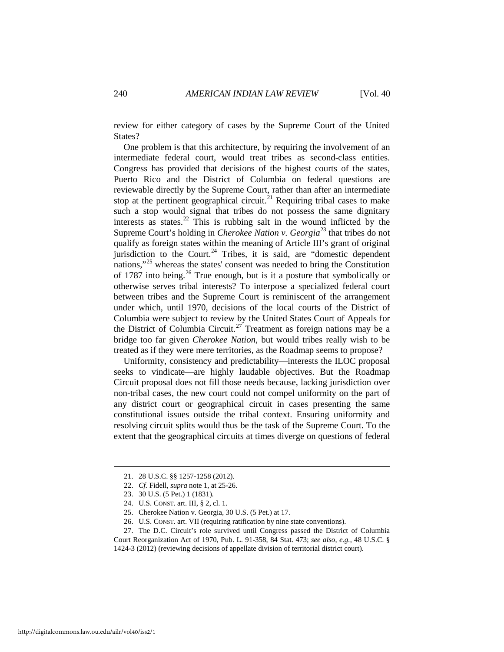review for either category of cases by the Supreme Court of the United States?

One problem is that this architecture, by requiring the involvement of an intermediate federal court, would treat tribes as second-class entities. Congress has provided that decisions of the highest courts of the states, Puerto Rico and the District of Columbia on federal questions are reviewable directly by the Supreme Court, rather than after an intermediate stop at the pertinent geographical circuit.<sup>[21](#page-8-0)</sup> Requiring tribal cases to make such a stop would signal that tribes do not possess the same dignitary interests as states.[22](#page-8-1) This is rubbing salt in the wound inflicted by the Supreme Court's holding in *Cherokee Nation v. Georgia*[23](#page-8-2) that tribes do not qualify as foreign states within the meaning of Article III's grant of original jurisdiction to the Court. $^{24}$  $^{24}$  $^{24}$  Tribes, it is said, are "domestic dependent nations,"[25](#page-8-4) whereas the states' consent was needed to bring the Constitution of 1787 into being.[26](#page-8-5) True enough, but is it a posture that symbolically or otherwise serves tribal interests? To interpose a specialized federal court between tribes and the Supreme Court is reminiscent of the arrangement under which, until 1970, decisions of the local courts of the District of Columbia were subject to review by the United States Court of Appeals for the District of Columbia Circuit.<sup>[27](#page-8-6)</sup> Treatment as foreign nations may be a bridge too far given *Cherokee Nation*, but would tribes really wish to be treated as if they were mere territories, as the Roadmap seems to propose?

Uniformity, consistency and predictability—interests the ILOC proposal seeks to vindicate—are highly laudable objectives. But the Roadmap Circuit proposal does not fill those needs because, lacking jurisdiction over non-tribal cases, the new court could not compel uniformity on the part of any district court or geographical circuit in cases presenting the same constitutional issues outside the tribal context. Ensuring uniformity and resolving circuit splits would thus be the task of the Supreme Court. To the extent that the geographical circuits at times diverge on questions of federal

<span id="page-8-6"></span><span id="page-8-5"></span><span id="page-8-4"></span><span id="page-8-3"></span><span id="page-8-2"></span><span id="page-8-1"></span>27. The D.C. Circuit's role survived until Congress passed the District of Columbia Court Reorganization Act of 1970, Pub. L. 91-358, 84 Stat. 473; *see also*, *e.g.*, 48 U.S.C. § 1424-3 (2012) (reviewing decisions of appellate division of territorial district court).

<span id="page-8-0"></span> <sup>21. 28</sup> U.S.C. §§ 1257-1258 (2012).

<sup>22.</sup> *Cf.* Fidell, *supra* note 1, at 25-26.

<sup>23. 30</sup> U.S. (5 Pet.) 1 (1831).

<sup>24.</sup> U.S. CONST. art. III, § 2, cl. 1.

<sup>25.</sup> Cherokee Nation v. Georgia, 30 U.S. (5 Pet.) at 17.

<sup>26.</sup> U.S. CONST. art. VII (requiring ratification by nine state conventions).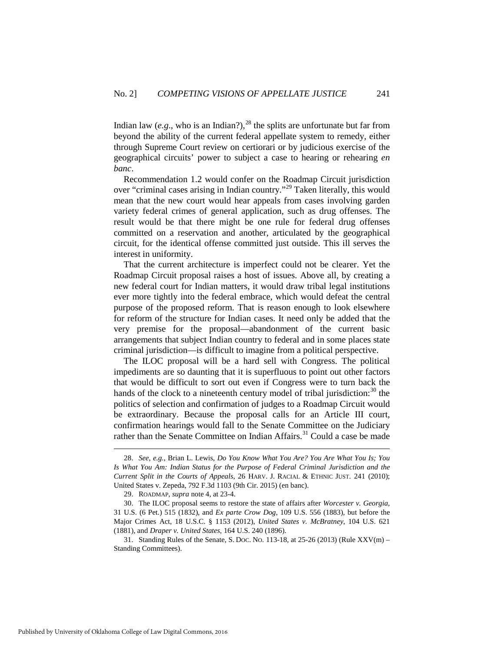Indian law (*e.g.*, who is an Indian?),  $^{28}$  $^{28}$  $^{28}$  the splits are unfortunate but far from beyond the ability of the current federal appellate system to remedy, either through Supreme Court review on certiorari or by judicious exercise of the geographical circuits' power to subject a case to hearing or rehearing *en banc*.

Recommendation 1.2 would confer on the Roadmap Circuit jurisdiction over "criminal cases arising in Indian country."[29](#page-9-1) Taken literally, this would mean that the new court would hear appeals from cases involving garden variety federal crimes of general application, such as drug offenses. The result would be that there might be one rule for federal drug offenses committed on a reservation and another, articulated by the geographical circuit, for the identical offense committed just outside. This ill serves the interest in uniformity.

That the current architecture is imperfect could not be clearer. Yet the Roadmap Circuit proposal raises a host of issues. Above all, by creating a new federal court for Indian matters, it would draw tribal legal institutions ever more tightly into the federal embrace, which would defeat the central purpose of the proposed reform. That is reason enough to look elsewhere for reform of the structure for Indian cases. It need only be added that the very premise for the proposal—abandonment of the current basic arrangements that subject Indian country to federal and in some places state criminal jurisdiction—is difficult to imagine from a political perspective.

The ILOC proposal will be a hard sell with Congress. The political impediments are so daunting that it is superfluous to point out other factors that would be difficult to sort out even if Congress were to turn back the hands of the clock to a nineteenth century model of tribal jurisdiction: $30$  the politics of selection and confirmation of judges to a Roadmap Circuit would be extraordinary. Because the proposal calls for an Article III court, confirmation hearings would fall to the Senate Committee on the Judiciary rather than the Senate Committee on Indian Affairs.<sup>[31](#page-9-3)</sup> Could a case be made

<span id="page-9-0"></span> <sup>28.</sup> *See*, *e.g.*, Brian L. Lewis, *Do You Know What You Are? You Are What You Is; You Is What You Am: Indian Status for the Purpose of Federal Criminal Jurisdiction and the Current Split in the Courts of Appeals*, 26 HARV. J. RACIAL & ETHNIC JUST. 241 (2010); United States v. Zepeda, 792 F.3d 1103 (9th Cir. 2015) (en banc).

<sup>29.</sup> ROADMAP, *supra* note 4, at 23-4.

<span id="page-9-2"></span><span id="page-9-1"></span><sup>30.</sup> The ILOC proposal seems to restore the state of affairs after *Worcester v. Georgia*, 31 U.S. (6 Pet.) 515 (1832), and *Ex parte Crow Dog*, 109 U.S. 556 (1883), but before the Major Crimes Act, 18 U.S.C. § 1153 (2012), *United States v. McBratney*, 104 U.S. 621 (1881), and *Draper v. United States*, 164 U.S. 240 (1896).

<span id="page-9-3"></span><sup>31.</sup> Standing Rules of the Senate, S. DOC. NO. 113-18, at 25-26 (2013) (Rule XXV(m) – Standing Committees).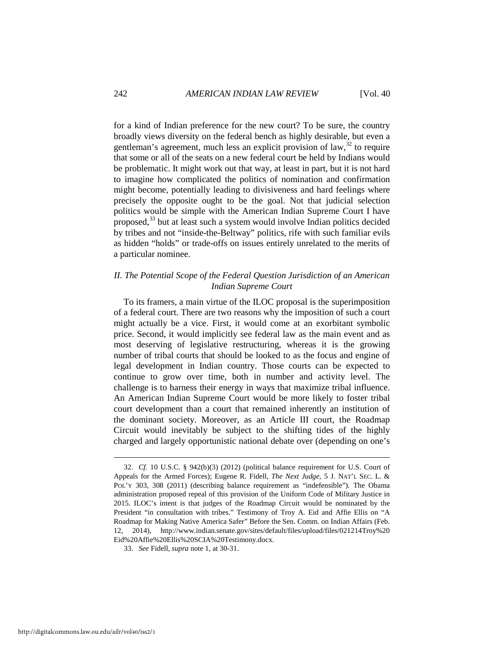for a kind of Indian preference for the new court? To be sure, the country broadly views diversity on the federal bench as highly desirable, but even a gentleman's agreement, much less an explicit provision of law,  $32$  to require that some or all of the seats on a new federal court be held by Indians would be problematic. It might work out that way, at least in part, but it is not hard to imagine how complicated the politics of nomination and confirmation might become, potentially leading to divisiveness and hard feelings where precisely the opposite ought to be the goal. Not that judicial selection politics would be simple with the American Indian Supreme Court I have proposed,<sup>[33](#page-10-1)</sup> but at least such a system would involve Indian politics decided by tribes and not "inside-the-Beltway" politics, rife with such familiar evils as hidden "holds" or trade-offs on issues entirely unrelated to the merits of a particular nominee.

# *II. The Potential Scope of the Federal Question Jurisdiction of an American Indian Supreme Court*

To its framers, a main virtue of the ILOC proposal is the superimposition of a federal court. There are two reasons why the imposition of such a court might actually be a vice. First, it would come at an exorbitant symbolic price. Second, it would implicitly see federal law as the main event and as most deserving of legislative restructuring, whereas it is the growing number of tribal courts that should be looked to as the focus and engine of legal development in Indian country. Those courts can be expected to continue to grow over time, both in number and activity level. The challenge is to harness their energy in ways that maximize tribal influence. An American Indian Supreme Court would be more likely to foster tribal court development than a court that remained inherently an institution of the dominant society. Moreover, as an Article III court, the Roadmap Circuit would inevitably be subject to the shifting tides of the highly charged and largely opportunistic national debate over (depending on one's

<span id="page-10-0"></span> <sup>32.</sup> *Cf.* 10 U.S.C. § 942(b)(3) (2012) (political balance requirement for U.S. Court of Appeals for the Armed Forces); Eugene R. Fidell, *The Next Judge*, 5 J. NAT'L SEC. L. & POL'Y 303, 308 (2011) (describing balance requirement as "indefensible"). The Obama administration proposed repeal of this provision of the Uniform Code of Military Justice in 2015. ILOC's intent is that judges of the Roadmap Circuit would be nominated by the President "in consultation with tribes." Testimony of Troy A. Eid and Affie Ellis on "A Roadmap for Making Native America Safer" Before the Sen. Comm. on Indian Affairs (Feb. 12, 2014), http://www.indian.senate.gov/sites/default/files/upload/files/021214Troy%20 Eid%20Affie%20Ellis%20SCIA%20Testimony.docx.

<span id="page-10-1"></span><sup>33.</sup> *See* Fidell, *supra* note 1, at 30-31.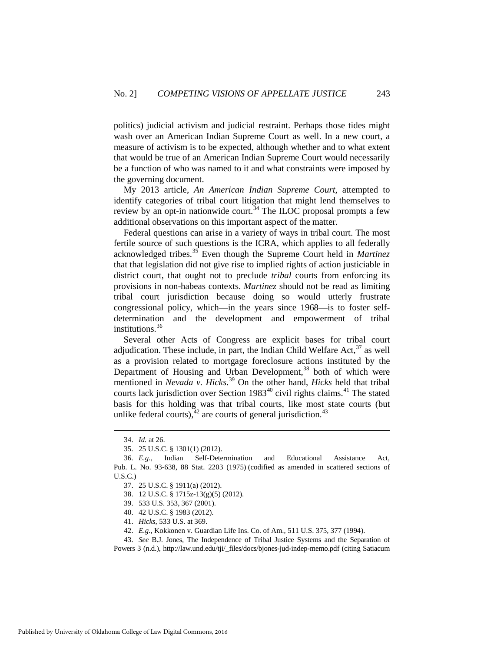politics) judicial activism and judicial restraint. Perhaps those tides might wash over an American Indian Supreme Court as well. In a new court, a measure of activism is to be expected, although whether and to what extent that would be true of an American Indian Supreme Court would necessarily be a function of who was named to it and what constraints were imposed by the governing document.

My 2013 article, *An American Indian Supreme Court*, attempted to identify categories of tribal court litigation that might lend themselves to review by an opt-in nationwide court.<sup>[34](#page-11-0)</sup> The ILOC proposal prompts a few additional observations on this important aspect of the matter.

Federal questions can arise in a variety of ways in tribal court. The most fertile source of such questions is the ICRA, which applies to all federally acknowledged tribes.[35](#page-11-1) Even though the Supreme Court held in *Martinez* that that legislation did not give rise to implied rights of action justiciable in district court, that ought not to preclude *tribal* courts from enforcing its provisions in non-habeas contexts. *Martinez* should not be read as limiting tribal court jurisdiction because doing so would utterly frustrate congressional policy, which—in the years since 1968—is to foster selfdetermination and the development and empowerment of tribal institutions.<sup>[36](#page-11-2)</sup>

Several other Acts of Congress are explicit bases for tribal court adjudication. These include, in part, the Indian Child Welfare Act,  $37$  as well as a provision related to mortgage foreclosure actions instituted by the Department of Housing and Urban Development,<sup>[38](#page-11-4)</sup> both of which were mentioned in *Nevada v. Hicks*. [39](#page-11-5) On the other hand, *Hicks* held that tribal courts lack jurisdiction over Section  $1983^{40}$  $1983^{40}$  $1983^{40}$  civil rights claims.<sup>[41](#page-11-7)</sup> The stated basis for this holding was that tribal courts, like most state courts (but unlike federal courts),  $42$  are courts of general jurisdiction.  $43$ 

 <sup>34.</sup> *Id.* at 26.

<sup>35. 25</sup> U.S.C. § 1301(1) (2012).

<span id="page-11-4"></span><span id="page-11-3"></span><span id="page-11-2"></span><span id="page-11-1"></span><span id="page-11-0"></span><sup>36.</sup> *E.g.,* Indian Self-Determination and Educational Assistance Act, [Pub. L. No. 93-638, 88 Stat. 2203 \(1975\)](https://1.next.westlaw.com/Link/Document/FullText?findType=l&pubNum=1077005&cite=UUID(I445214D742-4F496F84FFD-C5B3052820E)&originatingDoc=I7977dce3d2d911e18b05fdf15589d8e8&refType=SL&originationContext=document&transitionType=DocumentItem&contextData=(sc.Search)) (codified as amended in scattered sections of U.S.C.)

<sup>37. 25</sup> U.S.C. § 1911(a) (2012).

<sup>38. 12</sup> U.S.C. § 1715z-13(g)(5) (2012).

<sup>39. 533</sup> U.S. 353, 367 (2001).

<sup>40. 42</sup> U.S.C. § 1983 (2012).

<sup>41.</sup> *Hicks*, 533 U.S. at 369.

<sup>42.</sup> *E.g.*, Kokkonen v. Guardian Life Ins. Co. of Am., 511 U.S. 375, 377 (1994).

<span id="page-11-9"></span><span id="page-11-8"></span><span id="page-11-7"></span><span id="page-11-6"></span><span id="page-11-5"></span><sup>43.</sup> *See* B.J. Jones, The Independence of Tribal Justice Systems and the Separation of Powers 3 (n.d.), http://law.und.edu/tji/\_files/docs/bjones-jud-indep-memo.pdf (citing Satiacum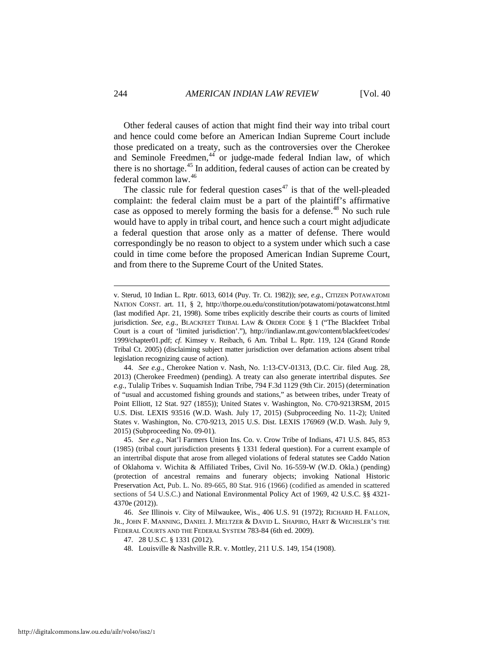Other federal causes of action that might find their way into tribal court and hence could come before an American Indian Supreme Court include those predicated on a treaty, such as the controversies over the Cherokee and Seminole Freedmen, $44$  or judge-made federal Indian law, of which there is no shortage.<sup>[45](#page-12-1)</sup> In addition, federal causes of action can be created by federal common law.[46](#page-12-2)

The classic rule for federal question cases<sup> $47$ </sup> is that of the well-pleaded complaint: the federal claim must be a part of the plaintiff's affirmative case as opposed to merely forming the basis for a defense.<sup>[48](#page-12-4)</sup> No such rule would have to apply in tribal court, and hence such a court might adjudicate a federal question that arose only as a matter of defense. There would correspondingly be no reason to object to a system under which such a case could in time come before the proposed American Indian Supreme Court, and from there to the Supreme Court of the United States.

-

v. Sterud, 10 Indian L. Rptr. 6013, 6014 (Puy. Tr. Ct. 1982)); *see, e.g.*, CITIZEN POTAWATOMI NATION CONST. art. 11, § 2, http://thorpe.ou.edu/constitution/potawatomi/potawatconst.html (last modified Apr. 21, 1998). Some tribes explicitly describe their courts as courts of limited jurisdiction. *See, e.g.*, BLACKFEET TRIBAL LAW & ORDER CODE § 1 ("The Blackfeet Tribal Court is a court of 'limited jurisdiction'."), http://indianlaw.mt.gov/content/blackfeet/codes/ 1999/chapter01.pdf; *cf.* Kimsey v. Reibach, 6 Am. Tribal L. Rptr. 119, 124 (Grand Ronde Tribal Ct. 2005) (disclaiming subject matter jurisdiction over defamation actions absent tribal legislation recognizing cause of action).

<span id="page-12-0"></span><sup>44.</sup> *See e.g.*, Cherokee Nation v. Nash, No. 1:13-CV-01313, (D.C. Cir. filed Aug. 28, 2013) (Cherokee Freedmen) (pending). A treaty can also generate intertribal disputes. *See e.g.*, Tulalip Tribes v. Suquamish Indian Tribe, 794 F.3d 1129 (9th Cir. 2015) (determination of "usual and accustomed fishing grounds and stations," as between tribes, under Treaty of Point Elliott, 12 Stat. 927 (1855)); United States v. Washington, No. C70-9213RSM, 2015 U.S. Dist. LEXIS 93516 (W.D. Wash. July 17, 2015) (Subproceeding No. 11-2); United States v. Washington, No. C70-9213, 2015 U.S. Dist. LEXIS 176969 (W.D. Wash. July 9, 2015) (Subproceeding No. 09-01).

<span id="page-12-1"></span><sup>45.</sup> *See e.g*., Nat'l Farmers Union Ins. Co. v. Crow Tribe of Indians, 471 U.S. 845, 853 (1985) (tribal court jurisdiction presents § 1331 federal question). For a current example of an intertribal dispute that arose from alleged violations of federal statutes see Caddo Nation of Oklahoma v. Wichita & Affiliated Tribes, Civil No. 16-559-W (W.D. Okla.) (pending) (protection of ancestral remains and funerary objects; invoking National Historic Preservation Act, Pub. L. No. 89-665, 80 Stat. 916 (1966) (codified as amended in scattered sections of 54 U.S.C.) and National Environmental Policy Act of 1969, 42 U.S.C. §§ 4321- 4370e (2012)).

<span id="page-12-4"></span><span id="page-12-3"></span><span id="page-12-2"></span><sup>46.</sup> *See* Illinois v. City of Milwaukee, Wis., 406 U.S. 91 (1972); RICHARD H. FALLON, JR., JOHN F. MANNING, DANIEL J. MELTZER & DAVID L. SHAPIRO, HART & WECHSLER'S THE FEDERAL COURTS AND THE FEDERAL SYSTEM 783-84 (6th ed. 2009).

<sup>47. 28</sup> U.S.C. § 1331 (2012).

<sup>48.</sup> Louisville & Nashville R.R. v. Mottley, 211 U.S. 149, 154 (1908).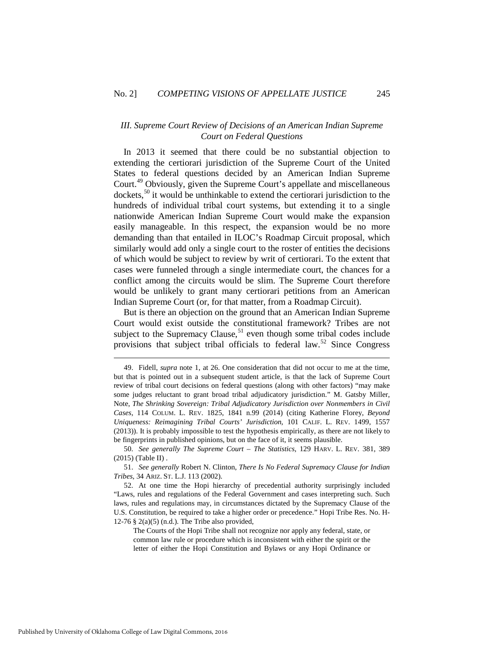## *III. Supreme Court Review of Decisions of an American Indian Supreme Court on Federal Questions*

In 2013 it seemed that there could be no substantial objection to extending the certiorari jurisdiction of the Supreme Court of the United States to federal questions decided by an American Indian Supreme Court.[49](#page-13-0) Obviously, given the Supreme Court's appellate and miscellaneous dockets,[50](#page-13-1) it would be unthinkable to extend the certiorari jurisdiction to the hundreds of individual tribal court systems, but extending it to a single nationwide American Indian Supreme Court would make the expansion easily manageable. In this respect, the expansion would be no more demanding than that entailed in ILOC's Roadmap Circuit proposal, which similarly would add only a single court to the roster of entities the decisions of which would be subject to review by writ of certiorari. To the extent that cases were funneled through a single intermediate court, the chances for a conflict among the circuits would be slim. The Supreme Court therefore would be unlikely to grant many certiorari petitions from an American Indian Supreme Court (or, for that matter, from a Roadmap Circuit).

But is there an objection on the ground that an American Indian Supreme Court would exist outside the constitutional framework? Tribes are not subject to the Supremacy Clause, $51$  even though some tribal codes include provisions that subject tribal officials to federal law.<sup>[52](#page-13-3)</sup> Since Congress

<span id="page-13-0"></span> <sup>49.</sup> Fidell, *supra* note 1, at 26. One consideration that did not occur to me at the time, but that is pointed out in a subsequent student article, is that the lack of Supreme Court review of tribal court decisions on federal questions (along with other factors) "may make some judges reluctant to grant broad tribal adjudicatory jurisdiction." M. Gatsby Miller, Note, *The Shrinking Sovereign: Tribal Adjudicatory Jurisdiction over Nonmembers in Civil Cases*, 114 COLUM. L. REV. 1825, 1841 n.99 (2014) (citing Katherine Florey, *Beyond Uniqueness: Reimagining Tribal Courts' Jurisdiction*, 101 CALIF. L. REV. 1499, 1557 (2013)). It is probably impossible to test the hypothesis empirically, as there are not likely to be fingerprints in published opinions, but on the face of it, it seems plausible.

<span id="page-13-1"></span><sup>50.</sup> *See generally The Supreme Court – The Statistics*, 129 HARV. L. REV. 381, 389 (2015) (Table II) .

<span id="page-13-2"></span><sup>51.</sup> *See generally* Robert N. Clinton, *There Is No Federal Supremacy Clause for Indian Tribes*, 34 ARIZ. ST. L.J. 113 (2002).

<span id="page-13-3"></span><sup>52.</sup> At one time the Hopi hierarchy of precedential authority surprisingly included "Laws, rules and regulations of the Federal Government and cases interpreting such. Such laws, rules and regulations may, in circumstances dictated by the Supremacy Clause of the U.S. Constitution, be required to take a higher order or precedence." Hopi Tribe Res. No. H-12-76  $\S$  2(a)(5) (n.d.). The Tribe also provided,

The Courts of the Hopi Tribe shall not recognize nor apply any federal, state, or common law rule or procedure which is inconsistent with either the spirit or the letter of either the Hopi Constitution and Bylaws or any Hopi Ordinance or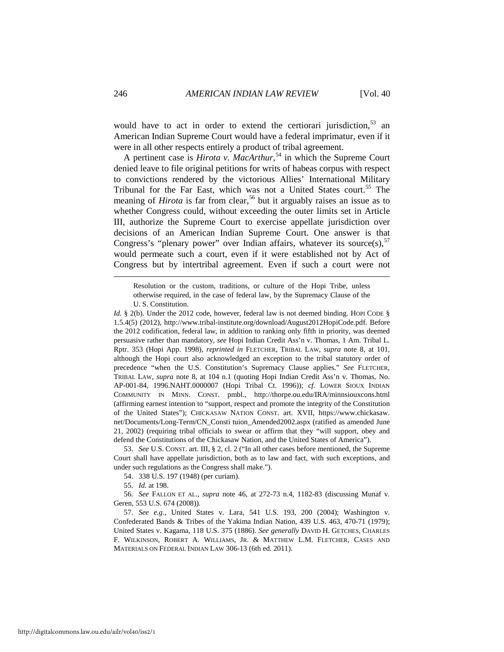would have to act in order to extend the certiorari jurisdiction,  $53$  an American Indian Supreme Court would have a federal imprimatur, even if it were in all other respects entirely a product of tribal agreement.

A pertinent case is *Hirota v. MacArthur*, [54](#page-14-1) in which the Supreme Court denied leave to file original petitions for writs of habeas corpus with respect to convictions rendered by the victorious Allies' International Military Tribunal for the Far East, which was not a United States court.<sup>[55](#page-14-2)</sup> The meaning of *Hirota* is far from clear,<sup>[56](#page-14-3)</sup> but it arguably raises an issue as to whether Congress could, without exceeding the outer limits set in Article III, authorize the Supreme Court to exercise appellate jurisdiction over decisions of an American Indian Supreme Court. One answer is that Congress's "plenary power" over Indian affairs, whatever its source(s),  $57$ would permeate such a court, even if it were established not by Act of Congress but by intertribal agreement. Even if such a court were not

<span id="page-14-0"></span>53. *See* U.S. CONST. art. III, § 2, cl. 2 ("In all other cases before mentioned, the Supreme Court shall have appellate jurisdiction, both as to law and fact, with such exceptions, and under such regulations as the Congress shall make.").

54. 338 U.S. 197 (1948) (per curiam).

55. *Id.* at 198.

<span id="page-14-3"></span><span id="page-14-2"></span><span id="page-14-1"></span>56. *See* FALLON ET AL., *supra* note 46, at 272-73 n.4, 1182-83 (discussing Munaf v. Geren, 553 U.S. 674 (2008)).

<span id="page-14-4"></span>57. *See e.g.*, United States v. Lara, 541 U.S. 193, 200 (2004); Washington v. Confederated Bands & Tribes of the Yakima Indian Nation, 439 U.S. 463, 470-71 (1979); United States v. Kagama, 118 U.S. 375 (1886). *See generally* DAVID H. GETCHES, CHARLES F. WILKINSON, ROBERT A. WILLIAMS, JR. & MATTHEW L.M. FLETCHER, CASES AND MATERIALS ON FEDERAL INDIAN LAW 306-13 (6th ed. 2011).

Resolution or the custom, traditions, or culture of the Hopi Tribe, unless otherwise required, in the case of federal law, by the Supremacy Clause of the U. S. Constitution.

*Id.* § 2(b). Under the 2012 code, however, federal law is not deemed binding. HOPI CODE § 1.5.4(5) (2012), http://www.tribal-institute.org/download/August2012HopiCode.pdf. Before the 2012 codification, federal law, in addition to ranking only fifth in priority, was deemed persuasive rather than mandatory, *see* Hopi Indian Credit Ass'n v. Thomas, 1 Am. Tribal L. Rptr. 353 (Hopi App. 1998), *reprinted in* FLETCHER, TRIBAL LAW, *supra* note 8, at 101, although the Hopi court also acknowledged an exception to the tribal statutory order of precedence "when the U.S. Constitution's Supremacy Clause applies." *See* FLETCHER, TRIBAL LAW, *supra* note 8, at 104 n.1 (quoting Hopi Indian Credit Ass'n v. Thomas, No. AP-001-84, 1996.NAHT.0000007 (Hopi Tribal Ct. 1996)); *cf.* LOWER SIOUX INDIAN COMMUNITY IN MINN. CONST. pmbl., http://thorpe.ou.edu/IRA/minnsiouxcons.html (affirming earnest intention to "support, respect and promote the integrity of the Constitution of the United States"); CHICKASAW NATION CONST. art. XVII, https://www.chickasaw. net/Documents/Long-Term/CN\_Consti tuion\_Amended2002.aspx (ratified as amended June 21, 2002) (requiring tribal officials to swear or affirm that they "will support, obey and defend the Constitutions of the Chickasaw Nation, and the United States of America").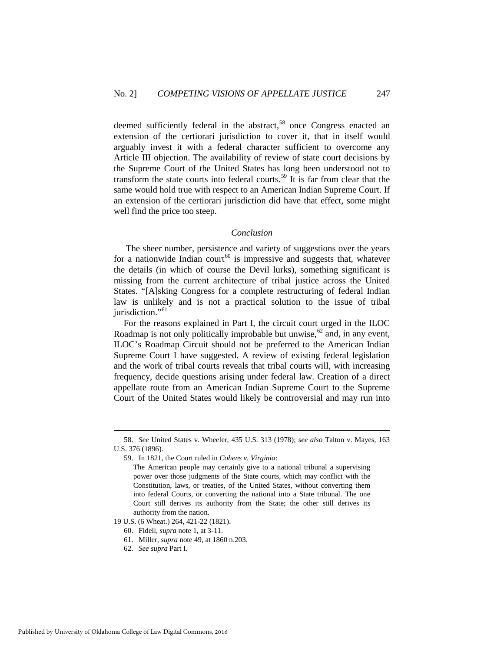deemed sufficiently federal in the abstract,<sup>[58](#page-15-0)</sup> once Congress enacted an extension of the certiorari jurisdiction to cover it, that in itself would arguably invest it with a federal character sufficient to overcome any Article III objection. The availability of review of state court decisions by the Supreme Court of the United States has long been understood not to transform the state courts into federal courts.<sup>[59](#page-15-1)</sup> It is far from clear that the same would hold true with respect to an American Indian Supreme Court. If an extension of the certiorari jurisdiction did have that effect, some might well find the price too steep.

#### *Conclusion*

The sheer number, persistence and variety of suggestions over the years for a nationwide Indian court<sup>[60](#page-15-2)</sup> is impressive and suggests that, whatever the details (in which of course the Devil lurks), something significant is missing from the current architecture of tribal justice across the United States. "[A]sking Congress for a complete restructuring of federal Indian law is unlikely and is not a practical solution to the issue of tribal jurisdiction."<sup>[61](#page-15-3)</sup>

For the reasons explained in Part I, the circuit court urged in the ILOC Roadmap is not only politically improbable but unwise,  $62$  and, in any event, ILOC's Roadmap Circuit should not be preferred to the American Indian Supreme Court I have suggested. A review of existing federal legislation and the work of tribal courts reveals that tribal courts will, with increasing frequency, decide questions arising under federal law. Creation of a direct appellate route from an American Indian Supreme Court to the Supreme Court of the United States would likely be controversial and may run into

<span id="page-15-1"></span><span id="page-15-0"></span> <sup>58.</sup> *See* United States v. Wheeler, 435 U.S. 313 (1978); *see also* Talton v. Mayes, 163 U.S. 376 (1896).

<sup>59.</sup> In 1821, the Court ruled in *Cohens v. Virginia*:

The American people may certainly give to a national tribunal a supervising power over those judgments of the State courts, which may conflict with the Constitution, laws, or treaties, of the United States, without converting them into federal Courts, or converting the national into a State tribunal. The one Court still derives its authority from the State; the other still derives its authority from the nation.

<span id="page-15-4"></span><span id="page-15-3"></span><span id="page-15-2"></span><sup>19</sup> U.S. (6 Wheat.) 264, 421-22 (1821).

<sup>60.</sup> Fidell, *supra* note 1, at 3-11.

<sup>61.</sup> Miller, *supra* note 49, at 1860 n.203.

<sup>62.</sup> *See supra* Part I.